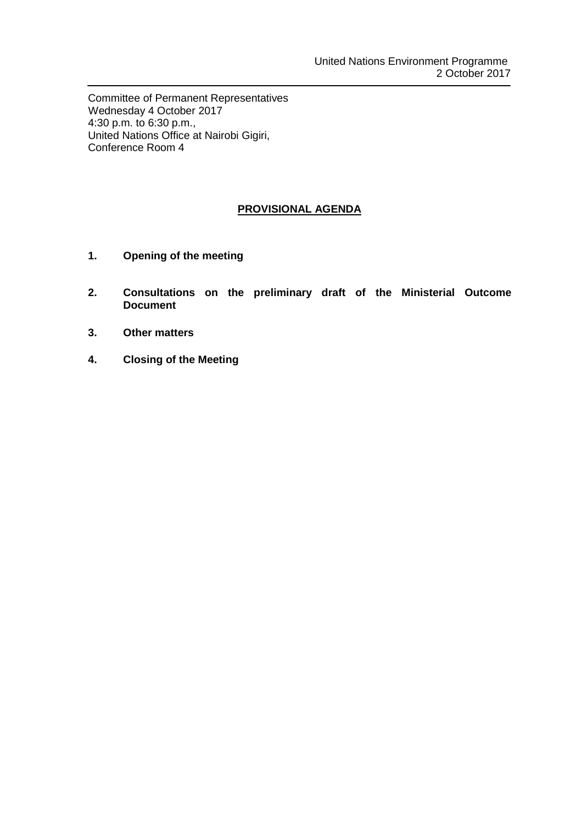Committee of Permanent Representatives Wednesday 4 October 2017 4:30 p.m. to 6:30 p.m., United Nations Office at Nairobi Gigiri, Conference Room 4

# **PROVISIONAL AGENDA**

- **1. Opening of the meeting**
- **2. Consultations on the preliminary draft of the Ministerial Outcome Document**
- **3. Other matters**
- **4. Closing of the Meeting**